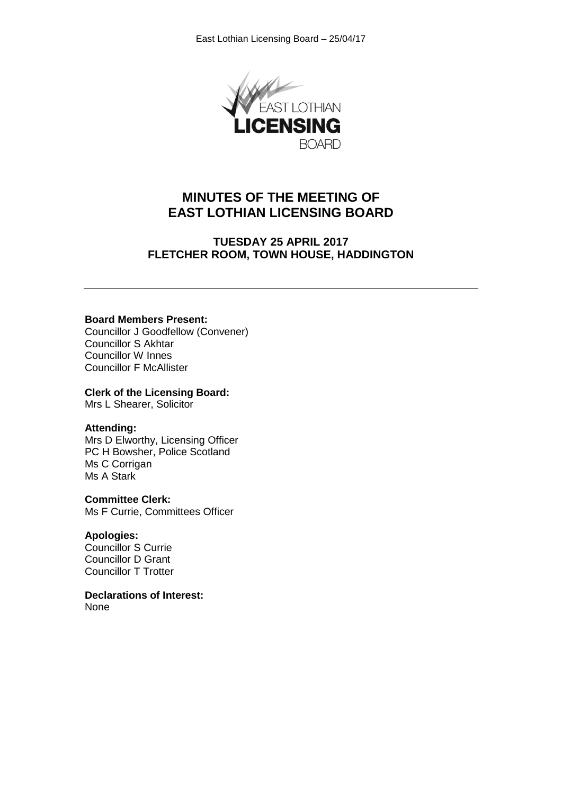

# **MINUTES OF THE MEETING OF EAST LOTHIAN LICENSING BOARD**

**TUESDAY 25 APRIL 2017 FLETCHER ROOM, TOWN HOUSE, HADDINGTON**

#### **Board Members Present:**

Councillor J Goodfellow (Convener) Councillor S Akhtar Councillor W Innes Councillor F McAllister

#### **Clerk of the Licensing Board:**

Mrs L Shearer, Solicitor

#### **Attending:**

Mrs D Elworthy, Licensing Officer PC H Bowsher, Police Scotland Ms C Corrigan Ms A Stark

#### **Committee Clerk:**

Ms F Currie, Committees Officer

## **Apologies:**

Councillor S Currie Councillor D Grant Councillor T Trotter

**Declarations of Interest:** None